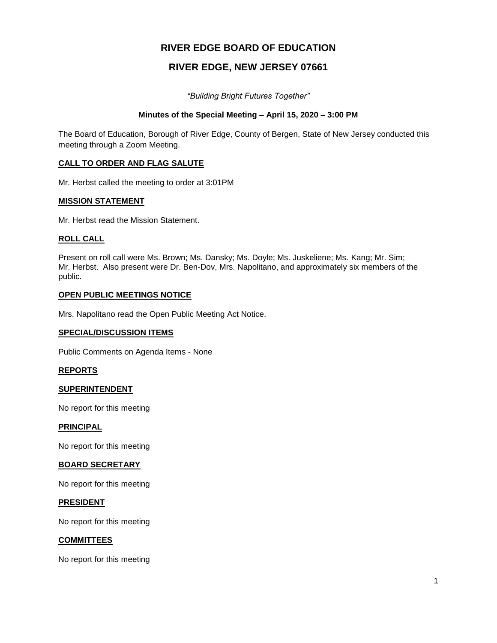# **RIVER EDGE BOARD OF EDUCATION**

# **RIVER EDGE, NEW JERSEY 07661**

*"Building Bright Futures Together"*

# **Minutes of the Special Meeting – April 15, 2020 – 3:00 PM**

The Board of Education, Borough of River Edge, County of Bergen, State of New Jersey conducted this meeting through a Zoom Meeting.

# **CALL TO ORDER AND FLAG SALUTE**

Mr. Herbst called the meeting to order at 3:01PM

## **MISSION STATEMENT**

Mr. Herbst read the Mission Statement.

## **ROLL CALL**

Present on roll call were Ms. Brown; Ms. Dansky; Ms. Doyle; Ms. Juskeliene; Ms. Kang; Mr. Sim; Mr. Herbst. Also present were Dr. Ben-Dov, Mrs. Napolitano, and approximately six members of the public.

## **OPEN PUBLIC MEETINGS NOTICE**

Mrs. Napolitano read the Open Public Meeting Act Notice.

## **SPECIAL/DISCUSSION ITEMS**

Public Comments on Agenda Items - None

## **REPORTS**

## **SUPERINTENDENT**

No report for this meeting

## **PRINCIPAL**

No report for this meeting

## **BOARD SECRETARY**

No report for this meeting

## **PRESIDENT**

No report for this meeting

## **COMMITTEES**

No report for this meeting